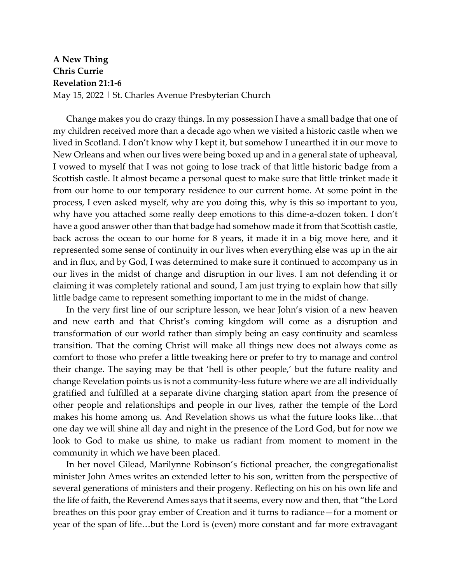## **A New Thing Chris Currie Revelation 21:1-6** May 15, 2022 | St. Charles Avenue Presbyterian Church

Change makes you do crazy things. In my possession I have a small badge that one of my children received more than a decade ago when we visited a historic castle when we lived in Scotland. I don't know why I kept it, but somehow I unearthed it in our move to New Orleans and when our lives were being boxed up and in a general state of upheaval, I vowed to myself that I was not going to lose track of that little historic badge from a Scottish castle. It almost became a personal quest to make sure that little trinket made it from our home to our temporary residence to our current home. At some point in the process, I even asked myself, why are you doing this, why is this so important to you, why have you attached some really deep emotions to this dime-a-dozen token. I don't have a good answer other than that badge had somehow made it from that Scottish castle, back across the ocean to our home for 8 years, it made it in a big move here, and it represented some sense of continuity in our lives when everything else was up in the air and in flux, and by God, I was determined to make sure it continued to accompany us in our lives in the midst of change and disruption in our lives. I am not defending it or claiming it was completely rational and sound, I am just trying to explain how that silly little badge came to represent something important to me in the midst of change.

In the very first line of our scripture lesson, we hear John's vision of a new heaven and new earth and that Christ's coming kingdom will come as a disruption and transformation of our world rather than simply being an easy continuity and seamless transition. That the coming Christ will make all things new does not always come as comfort to those who prefer a little tweaking here or prefer to try to manage and control their change. The saying may be that 'hell is other people,' but the future reality and change Revelation points us is not a community-less future where we are all individually gratified and fulfilled at a separate divine charging station apart from the presence of other people and relationships and people in our lives, rather the temple of the Lord makes his home among us. And Revelation shows us what the future looks like…that one day we will shine all day and night in the presence of the Lord God, but for now we look to God to make us shine, to make us radiant from moment to moment in the community in which we have been placed.

In her novel Gilead, Marilynne Robinson's fictional preacher, the congregationalist minister John Ames writes an extended letter to his son, written from the perspective of several generations of ministers and their progeny. Reflecting on his on his own life and the life of faith, the Reverend Ames says that it seems, every now and then, that "the Lord breathes on this poor gray ember of Creation and it turns to radiance—for a moment or year of the span of life…but the Lord is (even) more constant and far more extravagant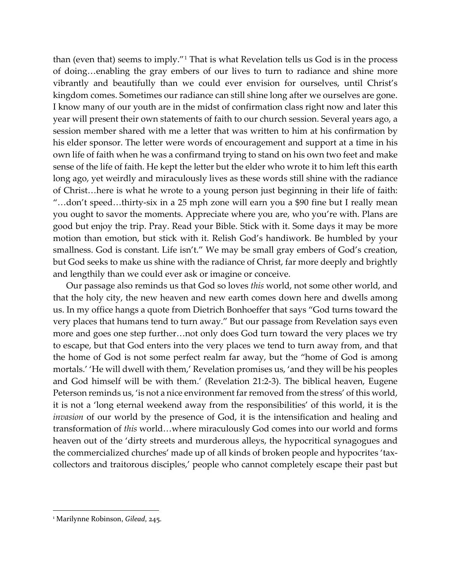than (even that) seems to imply."[1](#page-1-0) That is what Revelation tells us God is in the process of doing…enabling the gray embers of our lives to turn to radiance and shine more vibrantly and beautifully than we could ever envision for ourselves, until Christ's kingdom comes. Sometimes our radiance can still shine long after we ourselves are gone. I know many of our youth are in the midst of confirmation class right now and later this year will present their own statements of faith to our church session. Several years ago, a session member shared with me a letter that was written to him at his confirmation by his elder sponsor. The letter were words of encouragement and support at a time in his own life of faith when he was a confirmand trying to stand on his own two feet and make sense of the life of faith. He kept the letter but the elder who wrote it to him left this earth long ago, yet weirdly and miraculously lives as these words still shine with the radiance of Christ…here is what he wrote to a young person just beginning in their life of faith: "…don't speed…thirty-six in a 25 mph zone will earn you a \$90 fine but I really mean you ought to savor the moments. Appreciate where you are, who you're with. Plans are good but enjoy the trip. Pray. Read your Bible. Stick with it. Some days it may be more motion than emotion, but stick with it. Relish God's handiwork. Be humbled by your smallness. God is constant. Life isn't." We may be small gray embers of God's creation, but God seeks to make us shine with the radiance of Christ, far more deeply and brightly and lengthily than we could ever ask or imagine or conceive.

Our passage also reminds us that God so loves *this* world, not some other world, and that the holy city, the new heaven and new earth comes down here and dwells among us. In my office hangs a quote from Dietrich Bonhoeffer that says "God turns toward the very places that humans tend to turn away." But our passage from Revelation says even more and goes one step further…not only does God turn toward the very places we try to escape, but that God enters into the very places we tend to turn away from, and that the home of God is not some perfect realm far away, but the "home of God is among mortals.' 'He will dwell with them,' Revelation promises us, 'and they will be his peoples and God himself will be with them.' (Revelation 21:2-3). The biblical heaven, Eugene Peterson reminds us, 'is not a nice environment far removed from the stress' of this world, it is not a 'long eternal weekend away from the responsibilities' of this world, it is the *invasion* of our world by the presence of God, it is the intensification and healing and transformation of *this* world…where miraculously God comes into our world and forms heaven out of the 'dirty streets and murderous alleys, the hypocritical synagogues and the commercialized churches' made up of all kinds of broken people and hypocrites 'taxcollectors and traitorous disciples,' people who cannot completely escape their past but

<span id="page-1-0"></span><sup>1</sup> Marilynne Robinson, *Gilead*, 245.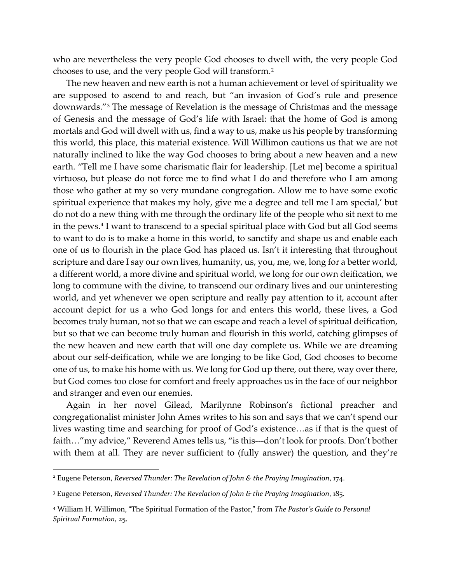who are nevertheless the very people God chooses to dwell with, the very people God chooses to use, and the very people God will transform.[2](#page-2-0)

The new heaven and new earth is not a human achievement or level of spirituality we are supposed to ascend to and reach, but "an invasion of God's rule and presence downwards."[3](#page-2-1) The message of Revelation is the message of Christmas and the message of Genesis and the message of God's life with Israel: that the home of God is among mortals and God will dwell with us, find a way to us, make us his people by transforming this world, this place, this material existence. Will Willimon cautions us that we are not naturally inclined to like the way God chooses to bring about a new heaven and a new earth. "Tell me I have some charismatic flair for leadership. [Let me] become a spiritual virtuoso, but please do not force me to find what I do and therefore who I am among those who gather at my so very mundane congregation. Allow me to have some exotic spiritual experience that makes my holy, give me a degree and tell me I am special,' but do not do a new thing with me through the ordinary life of the people who sit next to me in the pews.[4](#page-2-2) I want to transcend to a special spiritual place with God but all God seems to want to do is to make a home in this world, to sanctify and shape us and enable each one of us to flourish in the place God has placed us. Isn't it interesting that throughout scripture and dare I say our own lives, humanity, us, you, me, we, long for a better world, a different world, a more divine and spiritual world, we long for our own deification, we long to commune with the divine, to transcend our ordinary lives and our uninteresting world, and yet whenever we open scripture and really pay attention to it, account after account depict for us a who God longs for and enters this world, these lives, a God becomes truly human, not so that we can escape and reach a level of spiritual deification, but so that we can become truly human and flourish in this world, catching glimpses of the new heaven and new earth that will one day complete us. While we are dreaming about our self-deification, while we are longing to be like God, God chooses to become one of us, to make his home with us. We long for God up there, out there, way over there, but God comes too close for comfort and freely approaches us in the face of our neighbor and stranger and even our enemies.

Again in her novel Gilead, Marilynne Robinson's fictional preacher and congregationalist minister John Ames writes to his son and says that we can't spend our lives wasting time and searching for proof of God's existence…as if that is the quest of faith…"my advice," Reverend Ames tells us, "is this---don't look for proofs. Don't bother with them at all. They are never sufficient to (fully answer) the question, and they're

<span id="page-2-0"></span><sup>2</sup> Eugene Peterson, *Reversed Thunder: The Revelation of John & the Praying Imagination*, 174.

<span id="page-2-1"></span><sup>3</sup> Eugene Peterson, *Reversed Thunder: The Revelation of John & the Praying Imagination*, 185.

<span id="page-2-2"></span><sup>4</sup> William H. Willimon, "The Spiritual Formation of the Pastor," from *The Pastor's Guide to Personal Spiritual Formation*, 25.